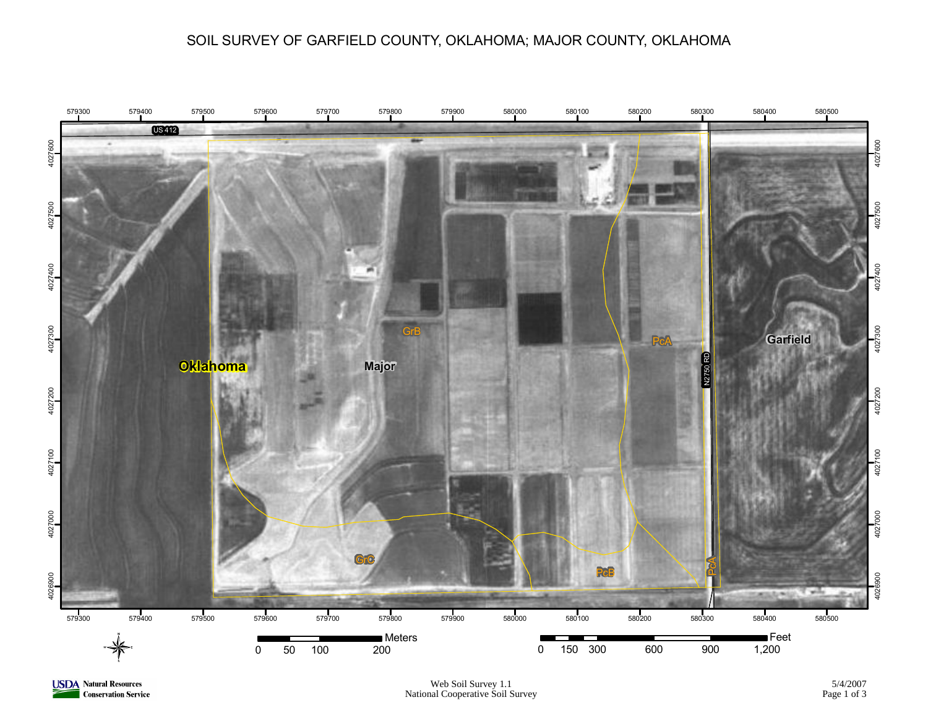#### SOIL SURVEY OF GARFIELD COUNTY, OKLAHOMA; MAJOR COUNTY, OKLAHOMA



**USDA** Natural Resources **Conservation Service**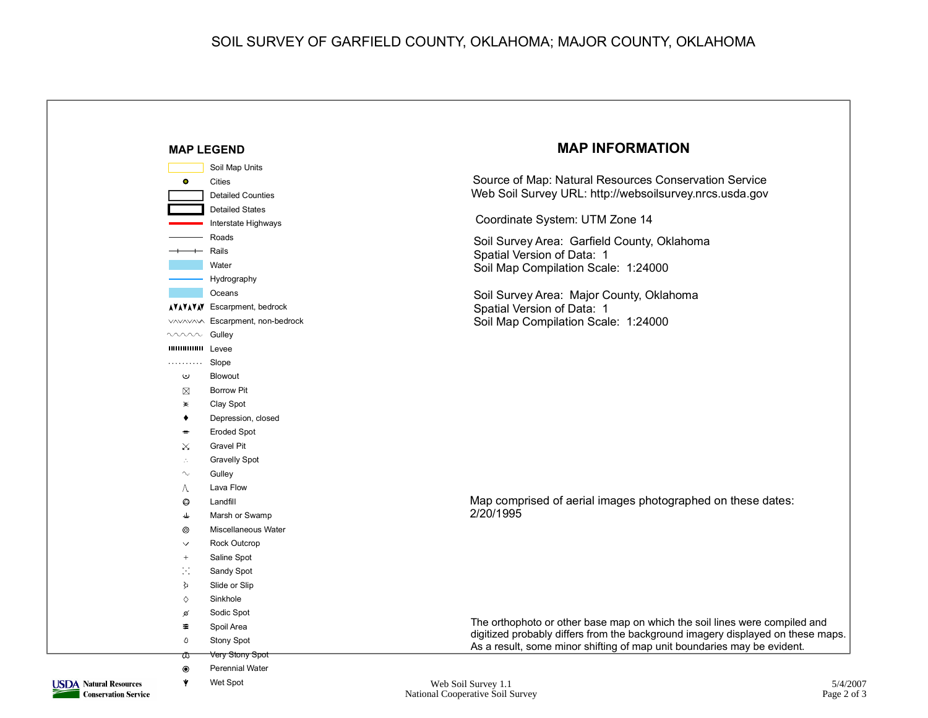### SOIL SURVEY OF GARFIELD COUNTY, OKLAHOMA; MAJOR COUNTY, OKLAHOMA



**Conservation Service** 

National Cooperative Soil Survey